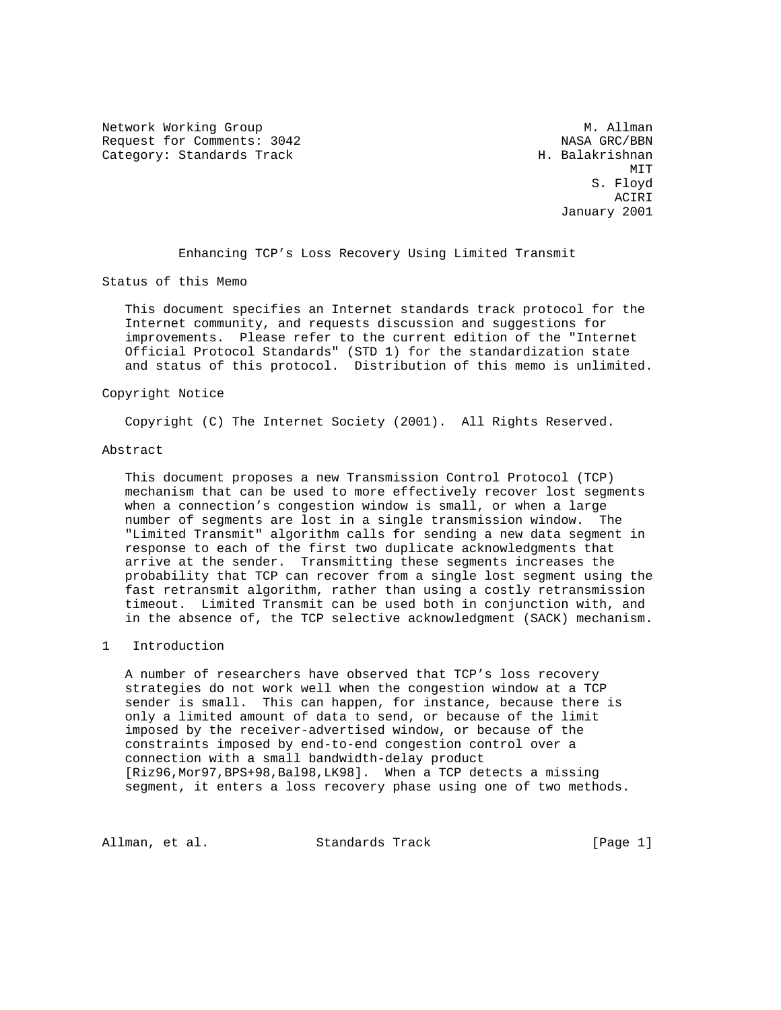Network Working Group and Month Communications of M. Allman Request for Comments: 3042 NASA GRC/BBN Category: Standards Track H. Balakrishnan

MIT **MIT**  S. Floyd ACIRI January 2001

Enhancing TCP's Loss Recovery Using Limited Transmit

Status of this Memo

 This document specifies an Internet standards track protocol for the Internet community, and requests discussion and suggestions for improvements. Please refer to the current edition of the "Internet Official Protocol Standards" (STD 1) for the standardization state and status of this protocol. Distribution of this memo is unlimited.

## Copyright Notice

Copyright (C) The Internet Society (2001). All Rights Reserved.

#### Abstract

 This document proposes a new Transmission Control Protocol (TCP) mechanism that can be used to more effectively recover lost segments when a connection's congestion window is small, or when a large number of segments are lost in a single transmission window. The "Limited Transmit" algorithm calls for sending a new data segment in response to each of the first two duplicate acknowledgments that arrive at the sender. Transmitting these segments increases the probability that TCP can recover from a single lost segment using the fast retransmit algorithm, rather than using a costly retransmission timeout. Limited Transmit can be used both in conjunction with, and in the absence of, the TCP selective acknowledgment (SACK) mechanism.

# 1 Introduction

 A number of researchers have observed that TCP's loss recovery strategies do not work well when the congestion window at a TCP sender is small. This can happen, for instance, because there is only a limited amount of data to send, or because of the limit imposed by the receiver-advertised window, or because of the constraints imposed by end-to-end congestion control over a connection with a small bandwidth-delay product [Riz96,Mor97,BPS+98,Bal98,LK98]. When a TCP detects a missing segment, it enters a loss recovery phase using one of two methods.

Allman, et al. Standards Track [Page 1]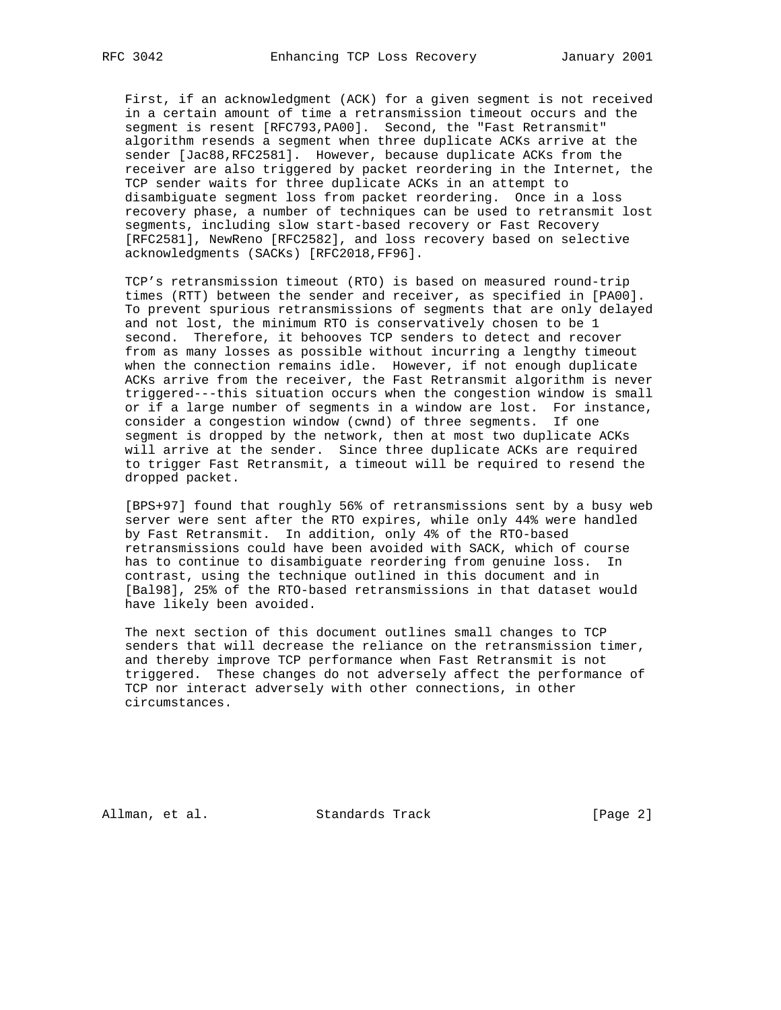First, if an acknowledgment (ACK) for a given segment is not received in a certain amount of time a retransmission timeout occurs and the segment is resent [RFC793,PA00]. Second, the "Fast Retransmit" algorithm resends a segment when three duplicate ACKs arrive at the sender [Jac88,RFC2581]. However, because duplicate ACKs from the receiver are also triggered by packet reordering in the Internet, the TCP sender waits for three duplicate ACKs in an attempt to disambiguate segment loss from packet reordering. Once in a loss recovery phase, a number of techniques can be used to retransmit lost segments, including slow start-based recovery or Fast Recovery [RFC2581], NewReno [RFC2582], and loss recovery based on selective acknowledgments (SACKs) [RFC2018,FF96].

 TCP's retransmission timeout (RTO) is based on measured round-trip times (RTT) between the sender and receiver, as specified in [PA00]. To prevent spurious retransmissions of segments that are only delayed and not lost, the minimum RTO is conservatively chosen to be 1 second. Therefore, it behooves TCP senders to detect and recover from as many losses as possible without incurring a lengthy timeout when the connection remains idle. However, if not enough duplicate ACKs arrive from the receiver, the Fast Retransmit algorithm is never triggered---this situation occurs when the congestion window is small or if a large number of segments in a window are lost. For instance, consider a congestion window (cwnd) of three segments. If one segment is dropped by the network, then at most two duplicate ACKs will arrive at the sender. Since three duplicate ACKs are required to trigger Fast Retransmit, a timeout will be required to resend the dropped packet.

 [BPS+97] found that roughly 56% of retransmissions sent by a busy web server were sent after the RTO expires, while only 44% were handled by Fast Retransmit. In addition, only 4% of the RTO-based retransmissions could have been avoided with SACK, which of course has to continue to disambiguate reordering from genuine loss. In contrast, using the technique outlined in this document and in [Bal98], 25% of the RTO-based retransmissions in that dataset would have likely been avoided.

 The next section of this document outlines small changes to TCP senders that will decrease the reliance on the retransmission timer, and thereby improve TCP performance when Fast Retransmit is not triggered. These changes do not adversely affect the performance of TCP nor interact adversely with other connections, in other circumstances.

Allman, et al. Standards Track [Page 2]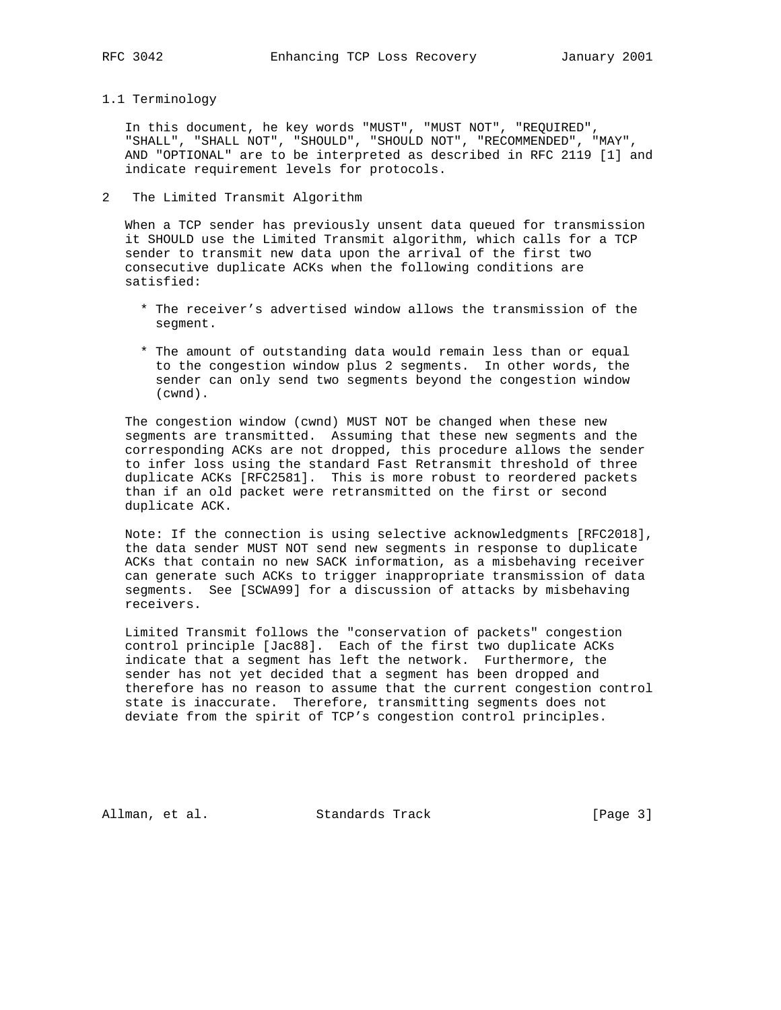1.1 Terminology

 In this document, he key words "MUST", "MUST NOT", "REQUIRED", "SHALL", "SHALL NOT", "SHOULD", "SHOULD NOT", "RECOMMENDED", "MAY", AND "OPTIONAL" are to be interpreted as described in RFC 2119 [1] and indicate requirement levels for protocols.

2 The Limited Transmit Algorithm

 When a TCP sender has previously unsent data queued for transmission it SHOULD use the Limited Transmit algorithm, which calls for a TCP sender to transmit new data upon the arrival of the first two consecutive duplicate ACKs when the following conditions are satisfied:

- \* The receiver's advertised window allows the transmission of the segment.
- \* The amount of outstanding data would remain less than or equal to the congestion window plus 2 segments. In other words, the sender can only send two segments beyond the congestion window (cwnd).

 The congestion window (cwnd) MUST NOT be changed when these new segments are transmitted. Assuming that these new segments and the corresponding ACKs are not dropped, this procedure allows the sender to infer loss using the standard Fast Retransmit threshold of three duplicate ACKs [RFC2581]. This is more robust to reordered packets than if an old packet were retransmitted on the first or second duplicate ACK.

 Note: If the connection is using selective acknowledgments [RFC2018], the data sender MUST NOT send new segments in response to duplicate ACKs that contain no new SACK information, as a misbehaving receiver can generate such ACKs to trigger inappropriate transmission of data segments. See [SCWA99] for a discussion of attacks by misbehaving receivers.

 Limited Transmit follows the "conservation of packets" congestion control principle [Jac88]. Each of the first two duplicate ACKs indicate that a segment has left the network. Furthermore, the sender has not yet decided that a segment has been dropped and therefore has no reason to assume that the current congestion control state is inaccurate. Therefore, transmitting segments does not deviate from the spirit of TCP's congestion control principles.

Allman, et al. Standards Track [Page 3]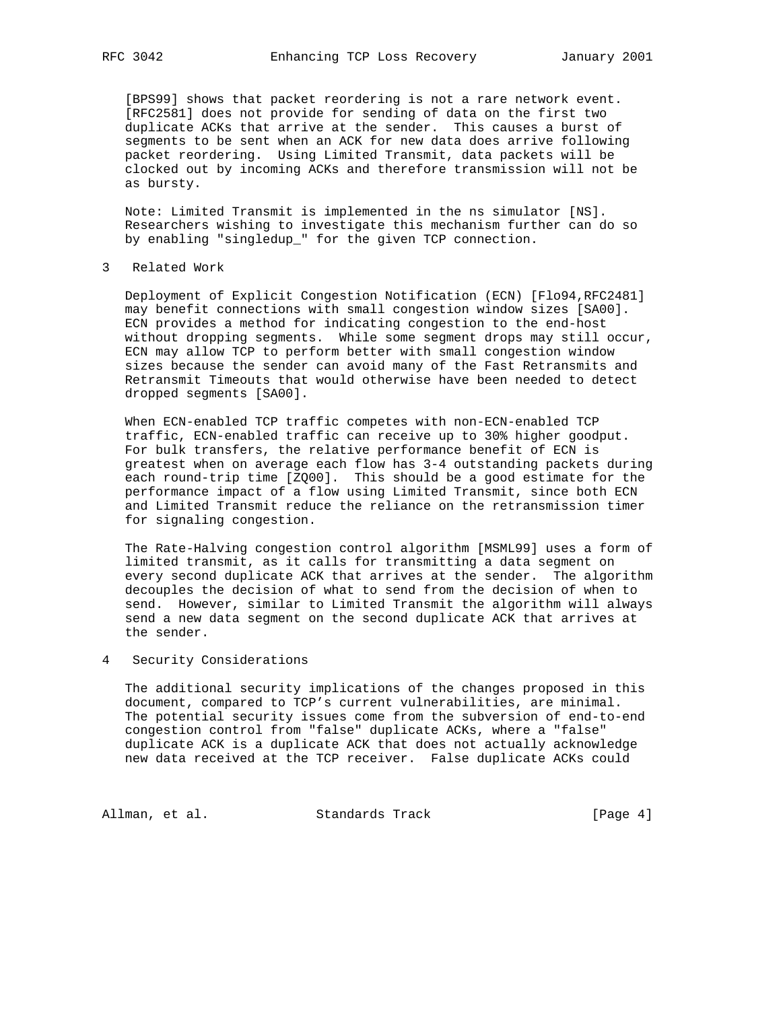[BPS99] shows that packet reordering is not a rare network event. [RFC2581] does not provide for sending of data on the first two duplicate ACKs that arrive at the sender. This causes a burst of segments to be sent when an ACK for new data does arrive following packet reordering. Using Limited Transmit, data packets will be clocked out by incoming ACKs and therefore transmission will not be as bursty.

 Note: Limited Transmit is implemented in the ns simulator [NS]. Researchers wishing to investigate this mechanism further can do so by enabling "singledup\_" for the given TCP connection.

### 3 Related Work

 Deployment of Explicit Congestion Notification (ECN) [Flo94,RFC2481] may benefit connections with small congestion window sizes [SA00]. ECN provides a method for indicating congestion to the end-host without dropping segments. While some segment drops may still occur, ECN may allow TCP to perform better with small congestion window sizes because the sender can avoid many of the Fast Retransmits and Retransmit Timeouts that would otherwise have been needed to detect dropped segments [SA00].

 When ECN-enabled TCP traffic competes with non-ECN-enabled TCP traffic, ECN-enabled traffic can receive up to 30% higher goodput. For bulk transfers, the relative performance benefit of ECN is greatest when on average each flow has 3-4 outstanding packets during each round-trip time [ZQ00]. This should be a good estimate for the performance impact of a flow using Limited Transmit, since both ECN and Limited Transmit reduce the reliance on the retransmission timer for signaling congestion.

 The Rate-Halving congestion control algorithm [MSML99] uses a form of limited transmit, as it calls for transmitting a data segment on every second duplicate ACK that arrives at the sender. The algorithm decouples the decision of what to send from the decision of when to send. However, similar to Limited Transmit the algorithm will always send a new data segment on the second duplicate ACK that arrives at the sender.

# 4 Security Considerations

 The additional security implications of the changes proposed in this document, compared to TCP's current vulnerabilities, are minimal. The potential security issues come from the subversion of end-to-end congestion control from "false" duplicate ACKs, where a "false" duplicate ACK is a duplicate ACK that does not actually acknowledge new data received at the TCP receiver. False duplicate ACKs could

Allman, et al. Standards Track (Page 4)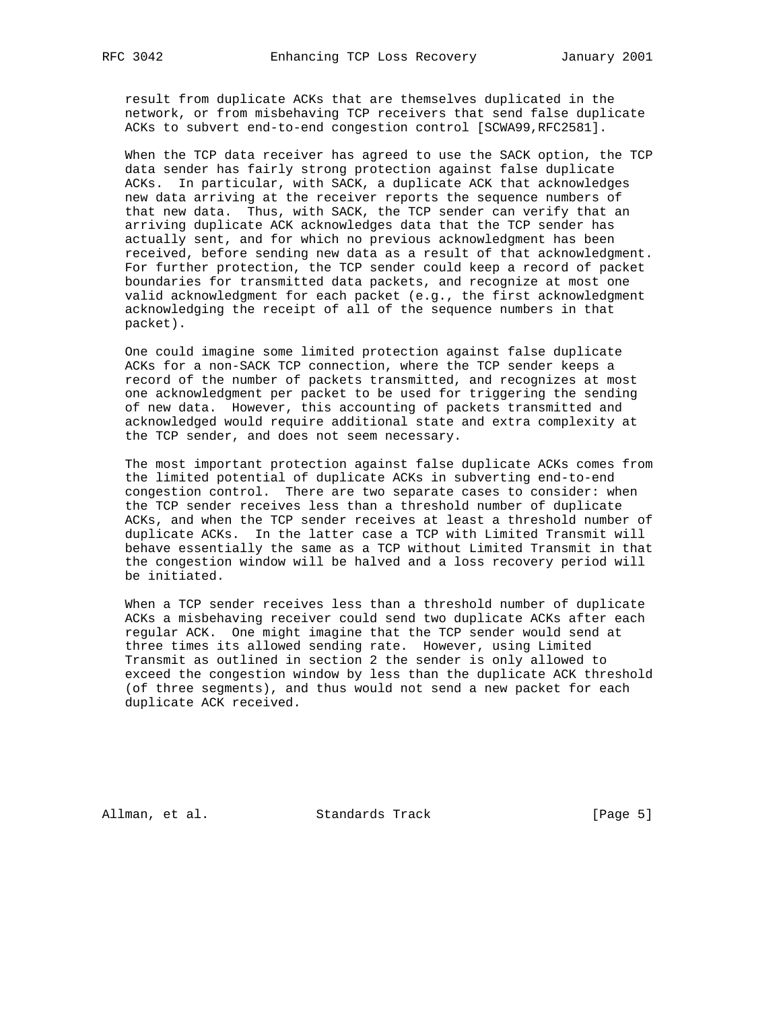result from duplicate ACKs that are themselves duplicated in the network, or from misbehaving TCP receivers that send false duplicate ACKs to subvert end-to-end congestion control [SCWA99,RFC2581].

 When the TCP data receiver has agreed to use the SACK option, the TCP data sender has fairly strong protection against false duplicate ACKs. In particular, with SACK, a duplicate ACK that acknowledges new data arriving at the receiver reports the sequence numbers of that new data. Thus, with SACK, the TCP sender can verify that an arriving duplicate ACK acknowledges data that the TCP sender has actually sent, and for which no previous acknowledgment has been received, before sending new data as a result of that acknowledgment. For further protection, the TCP sender could keep a record of packet boundaries for transmitted data packets, and recognize at most one valid acknowledgment for each packet (e.g., the first acknowledgment acknowledging the receipt of all of the sequence numbers in that packet).

 One could imagine some limited protection against false duplicate ACKs for a non-SACK TCP connection, where the TCP sender keeps a record of the number of packets transmitted, and recognizes at most one acknowledgment per packet to be used for triggering the sending of new data. However, this accounting of packets transmitted and acknowledged would require additional state and extra complexity at the TCP sender, and does not seem necessary.

 The most important protection against false duplicate ACKs comes from the limited potential of duplicate ACKs in subverting end-to-end congestion control. There are two separate cases to consider: when the TCP sender receives less than a threshold number of duplicate ACKs, and when the TCP sender receives at least a threshold number of duplicate ACKs. In the latter case a TCP with Limited Transmit will behave essentially the same as a TCP without Limited Transmit in that the congestion window will be halved and a loss recovery period will be initiated.

 When a TCP sender receives less than a threshold number of duplicate ACKs a misbehaving receiver could send two duplicate ACKs after each regular ACK. One might imagine that the TCP sender would send at three times its allowed sending rate. However, using Limited Transmit as outlined in section 2 the sender is only allowed to exceed the congestion window by less than the duplicate ACK threshold (of three segments), and thus would not send a new packet for each duplicate ACK received.

Allman, et al. Standards Track [Page 5]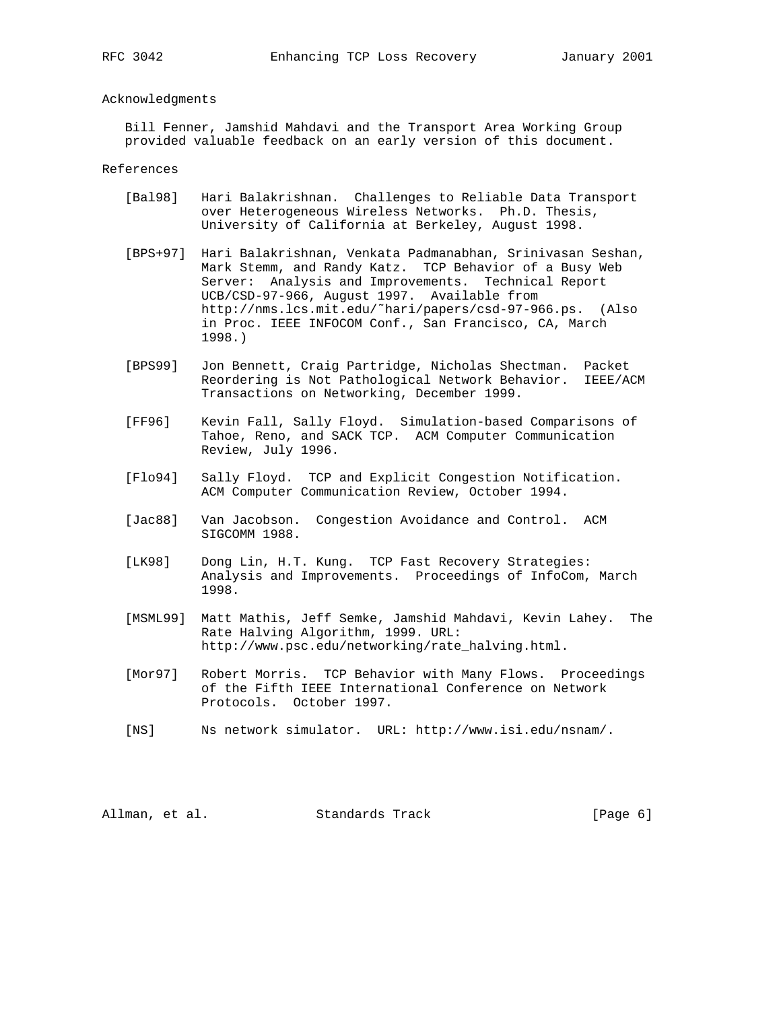# Acknowledgments

 Bill Fenner, Jamshid Mahdavi and the Transport Area Working Group provided valuable feedback on an early version of this document.

References

- [Bal98] Hari Balakrishnan. Challenges to Reliable Data Transport over Heterogeneous Wireless Networks. Ph.D. Thesis, University of California at Berkeley, August 1998.
- [BPS+97] Hari Balakrishnan, Venkata Padmanabhan, Srinivasan Seshan, Mark Stemm, and Randy Katz. TCP Behavior of a Busy Web Server: Analysis and Improvements. Technical Report UCB/CSD-97-966, August 1997. Available from http://nms.lcs.mit.edu/˜hari/papers/csd-97-966.ps. (Also in Proc. IEEE INFOCOM Conf., San Francisco, CA, March 1998.)
- [BPS99] Jon Bennett, Craig Partridge, Nicholas Shectman. Packet Reordering is Not Pathological Network Behavior. IEEE/ACM Transactions on Networking, December 1999.
- [FF96] Kevin Fall, Sally Floyd. Simulation-based Comparisons of Tahoe, Reno, and SACK TCP. ACM Computer Communication Review, July 1996.
- [Flo94] Sally Floyd. TCP and Explicit Congestion Notification. ACM Computer Communication Review, October 1994.
- [Jac88] Van Jacobson. Congestion Avoidance and Control. ACM SIGCOMM 1988.
- [LK98] Dong Lin, H.T. Kung. TCP Fast Recovery Strategies: Analysis and Improvements. Proceedings of InfoCom, March 1998.
- [MSML99] Matt Mathis, Jeff Semke, Jamshid Mahdavi, Kevin Lahey. The Rate Halving Algorithm, 1999. URL: http://www.psc.edu/networking/rate\_halving.html.
- [Mor97] Robert Morris. TCP Behavior with Many Flows. Proceedings of the Fifth IEEE International Conference on Network Protocols. October 1997.
- [NS] Ns network simulator. URL: http://www.isi.edu/nsnam/.

Allman, et al. Standards Track (Page 6)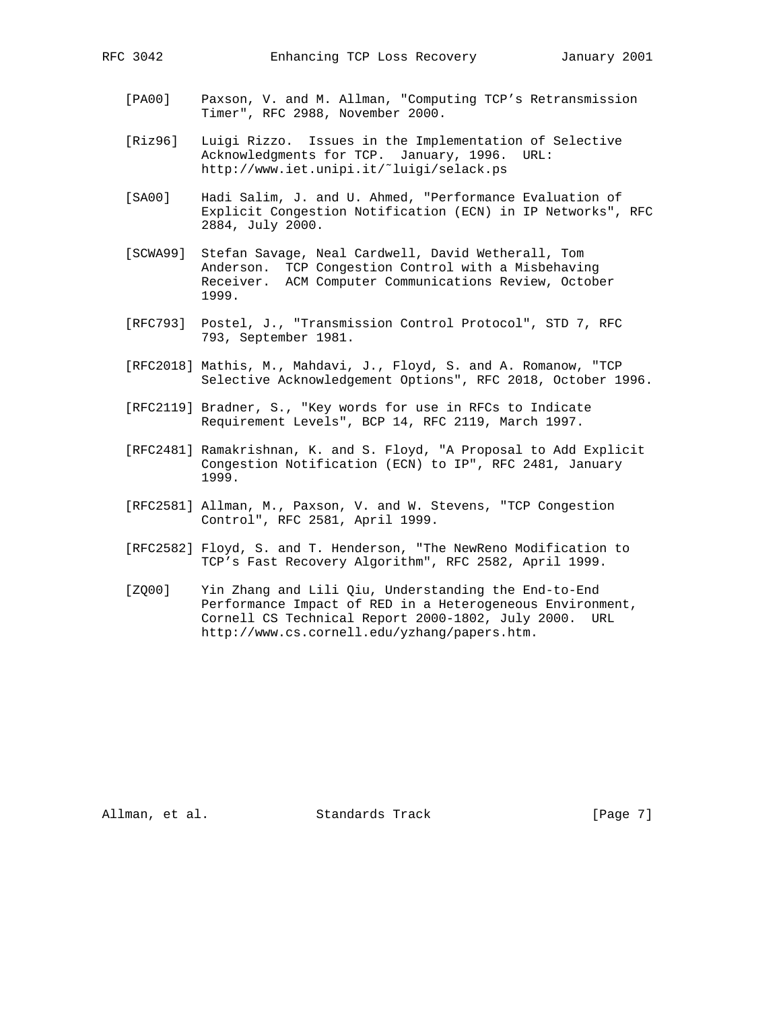- [PA00] Paxson, V. and M. Allman, "Computing TCP's Retransmission Timer", RFC 2988, November 2000.
- [Riz96] Luigi Rizzo. Issues in the Implementation of Selective Acknowledgments for TCP. January, 1996. URL: http://www.iet.unipi.it/˜luigi/selack.ps
- [SA00] Hadi Salim, J. and U. Ahmed, "Performance Evaluation of Explicit Congestion Notification (ECN) in IP Networks", RFC 2884, July 2000.
- [SCWA99] Stefan Savage, Neal Cardwell, David Wetherall, Tom Anderson. TCP Congestion Control with a Misbehaving Receiver. ACM Computer Communications Review, October 1999.
- [RFC793] Postel, J., "Transmission Control Protocol", STD 7, RFC 793, September 1981.
- [RFC2018] Mathis, M., Mahdavi, J., Floyd, S. and A. Romanow, "TCP Selective Acknowledgement Options", RFC 2018, October 1996.
- [RFC2119] Bradner, S., "Key words for use in RFCs to Indicate Requirement Levels", BCP 14, RFC 2119, March 1997.
- [RFC2481] Ramakrishnan, K. and S. Floyd, "A Proposal to Add Explicit Congestion Notification (ECN) to IP", RFC 2481, January 1999.
- [RFC2581] Allman, M., Paxson, V. and W. Stevens, "TCP Congestion Control", RFC 2581, April 1999.
- [RFC2582] Floyd, S. and T. Henderson, "The NewReno Modification to TCP's Fast Recovery Algorithm", RFC 2582, April 1999.
- [ZQ00] Yin Zhang and Lili Qiu, Understanding the End-to-End Performance Impact of RED in a Heterogeneous Environment, Cornell CS Technical Report 2000-1802, July 2000. URL http://www.cs.cornell.edu/yzhang/papers.htm.

Allman, et al. Standards Track [Page 7]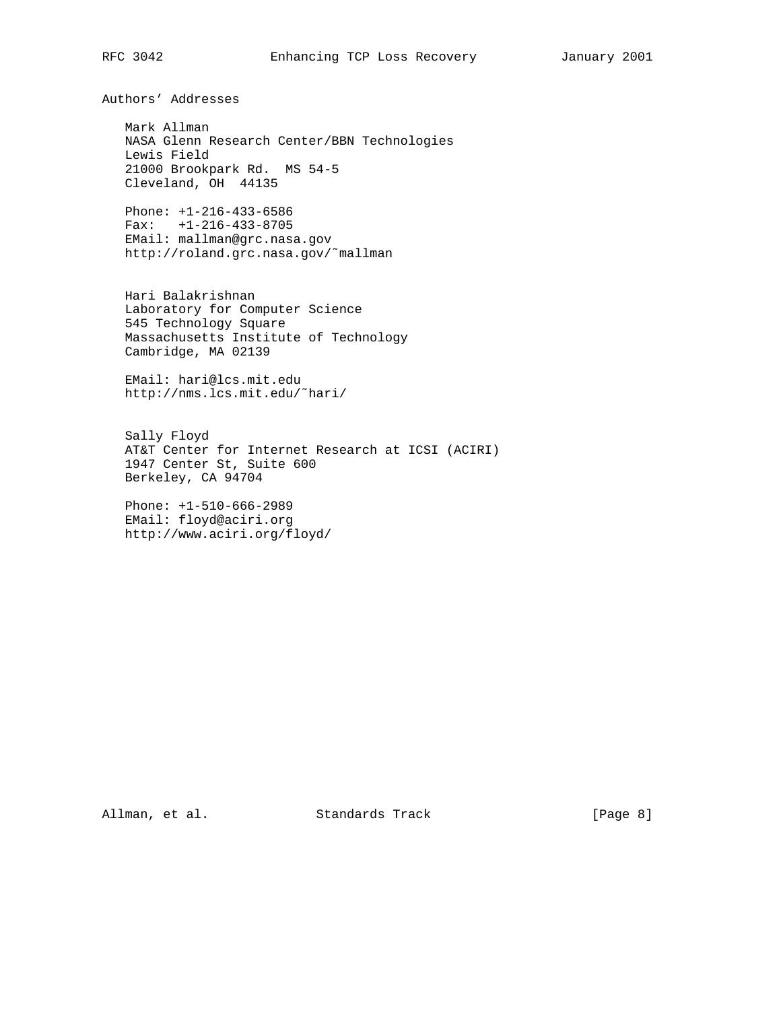Authors' Addresses

 Mark Allman NASA Glenn Research Center/BBN Technologies Lewis Field 21000 Brookpark Rd. MS 54-5 Cleveland, OH 44135

 Phone: +1-216-433-6586 Fax: +1-216-433-8705 EMail: mallman@grc.nasa.gov http://roland.grc.nasa.gov/˜mallman

 Hari Balakrishnan Laboratory for Computer Science 545 Technology Square Massachusetts Institute of Technology Cambridge, MA 02139

 EMail: hari@lcs.mit.edu http://nms.lcs.mit.edu/˜hari/

 Sally Floyd AT&T Center for Internet Research at ICSI (ACIRI) 1947 Center St, Suite 600 Berkeley, CA 94704

 Phone: +1-510-666-2989 EMail: floyd@aciri.org http://www.aciri.org/floyd/

Allman, et al. Standards Track [Page 8]